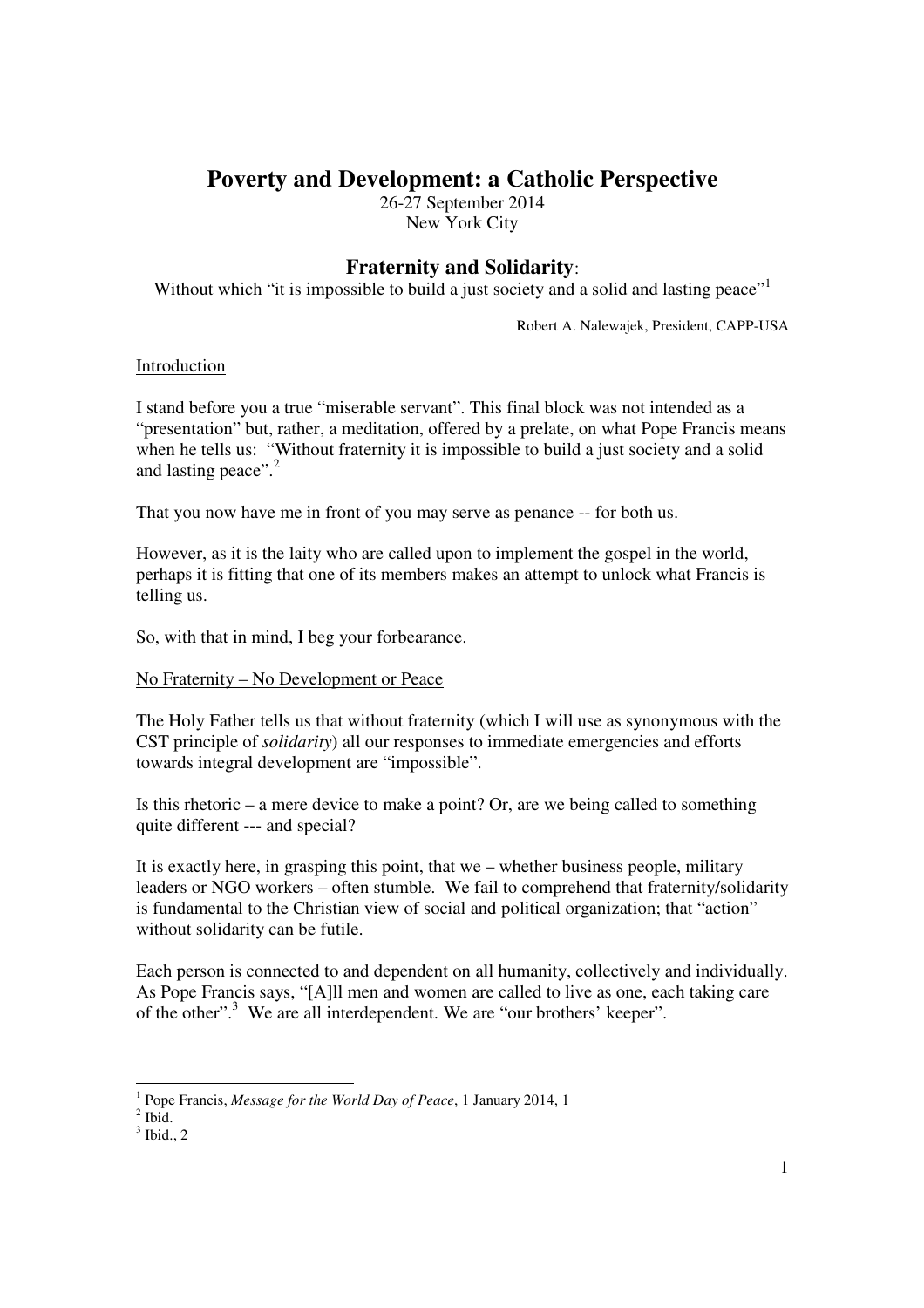# **Poverty and Development: a Catholic Perspective**

26-27 September 2014 New York City

# **Fraternity and Solidarity**:

Without which "it is impossible to build a just society and a solid and lasting peace"<sup>1</sup>

Robert A. Nalewajek, President, CAPP-USA

# Introduction

I stand before you a true "miserable servant". This final block was not intended as a "presentation" but, rather, a meditation, offered by a prelate, on what Pope Francis means when he tells us: "Without fraternity it is impossible to build a just society and a solid and lasting peace".<sup>2</sup>

That you now have me in front of you may serve as penance -- for both us.

However, as it is the laity who are called upon to implement the gospel in the world, perhaps it is fitting that one of its members makes an attempt to unlock what Francis is telling us.

So, with that in mind, I beg your forbearance.

#### No Fraternity – No Development or Peace

The Holy Father tells us that without fraternity (which I will use as synonymous with the CST principle of *solidarity*) all our responses to immediate emergencies and efforts towards integral development are "impossible".

Is this rhetoric – a mere device to make a point? Or, are we being called to something quite different --- and special?

It is exactly here, in grasping this point, that we – whether business people, military leaders or NGO workers – often stumble. We fail to comprehend that fraternity/solidarity is fundamental to the Christian view of social and political organization; that "action" without solidarity can be futile.

Each person is connected to and dependent on all humanity, collectively and individually. As Pope Francis says, "[A]ll men and women are called to live as one, each taking care of the other".<sup>3</sup> We are all interdependent. We are "our brothers' keeper".

-

<sup>1</sup> Pope Francis, *Message for the World Day of Peace*, 1 January 2014, 1

 $<sup>2</sup>$  Ibid.</sup>

 $3$  Ibid., 2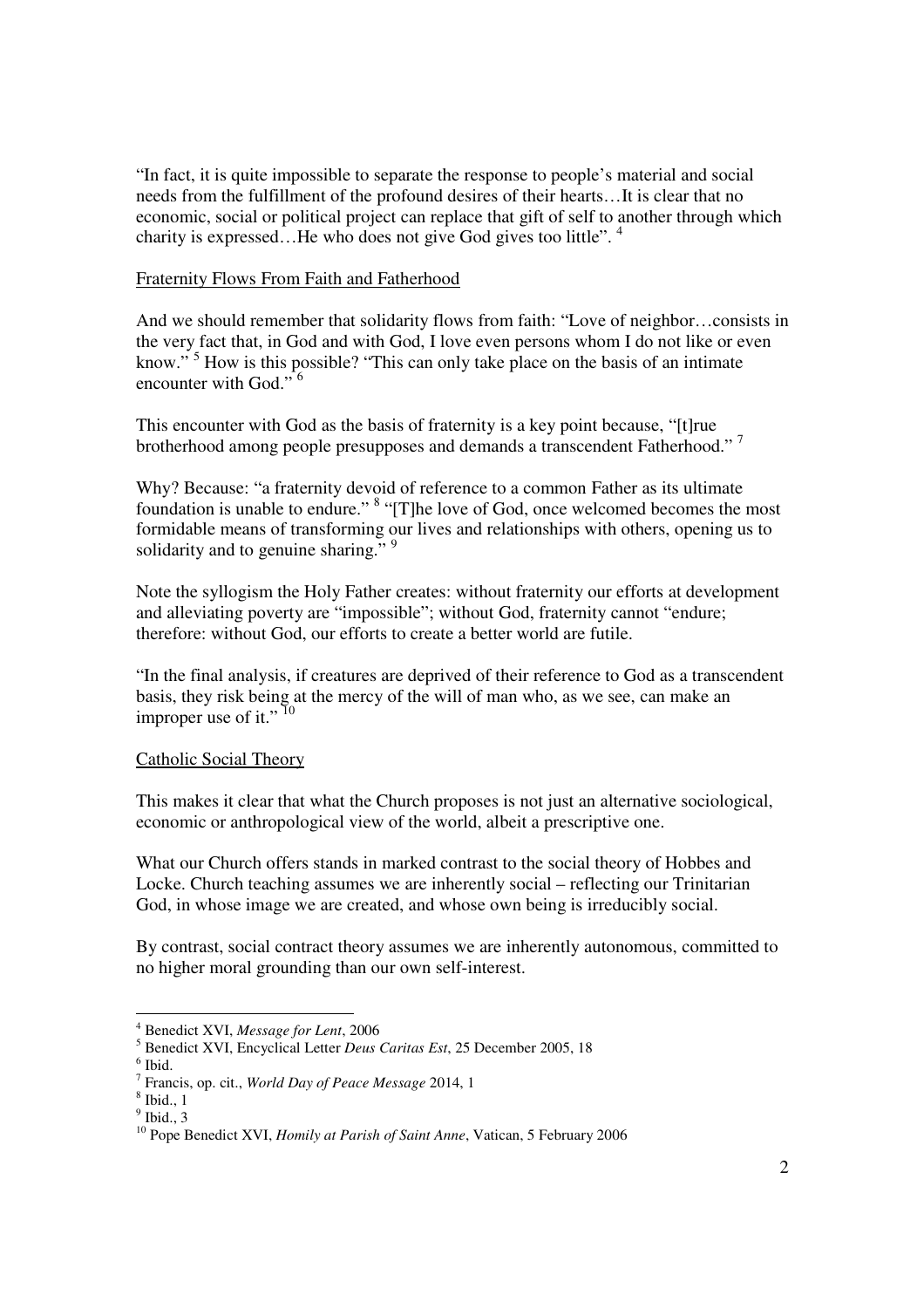"In fact, it is quite impossible to separate the response to people's material and social needs from the fulfillment of the profound desires of their hearts…It is clear that no economic, social or political project can replace that gift of self to another through which charity is expressed...He who does not give God gives too little".<sup>4</sup>

### Fraternity Flows From Faith and Fatherhood

And we should remember that solidarity flows from faith: "Love of neighbor…consists in the very fact that, in God and with God, I love even persons whom I do not like or even know."<sup>5</sup> How is this possible? "This can only take place on the basis of an intimate encounter with God."<sup>6</sup>

This encounter with God as the basis of fraternity is a key point because, "[t]rue brotherhood among people presupposes and demands a transcendent Fatherhood."<sup>7</sup>

Why? Because: "a fraternity devoid of reference to a common Father as its ultimate foundation is unable to endure." <sup>8</sup> "[T]he love of God, once welcomed becomes the most formidable means of transforming our lives and relationships with others, opening us to solidarity and to genuine sharing."  $9$ 

Note the syllogism the Holy Father creates: without fraternity our efforts at development and alleviating poverty are "impossible"; without God, fraternity cannot "endure; therefore: without God, our efforts to create a better world are futile.

"In the final analysis, if creatures are deprived of their reference to God as a transcendent basis, they risk being at the mercy of the will of man who, as we see, can make an improper use of it."<sup>10</sup>

# Catholic Social Theory

This makes it clear that what the Church proposes is not just an alternative sociological, economic or anthropological view of the world, albeit a prescriptive one.

What our Church offers stands in marked contrast to the social theory of Hobbes and Locke. Church teaching assumes we are inherently social – reflecting our Trinitarian God, in whose image we are created, and whose own being is irreducibly social.

By contrast, social contract theory assumes we are inherently autonomous, committed to no higher moral grounding than our own self-interest.

 4 Benedict XVI, *Message for Lent*, 2006

<sup>5</sup> Benedict XVI, Encyclical Letter *Deus Caritas Est*, 25 December 2005, 18

 $<sup>6</sup>$  Ibid.</sup>

<sup>7</sup> Francis, op. cit., *World Day of Peace Message* 2014, 1

<sup>8</sup> Ibid., 1

 $<sup>9</sup>$  Ibid., 3</sup>

<sup>&</sup>lt;sup>10</sup> Pope Benedict XVI, *Homily at Parish of Saint Anne*, Vatican, 5 February 2006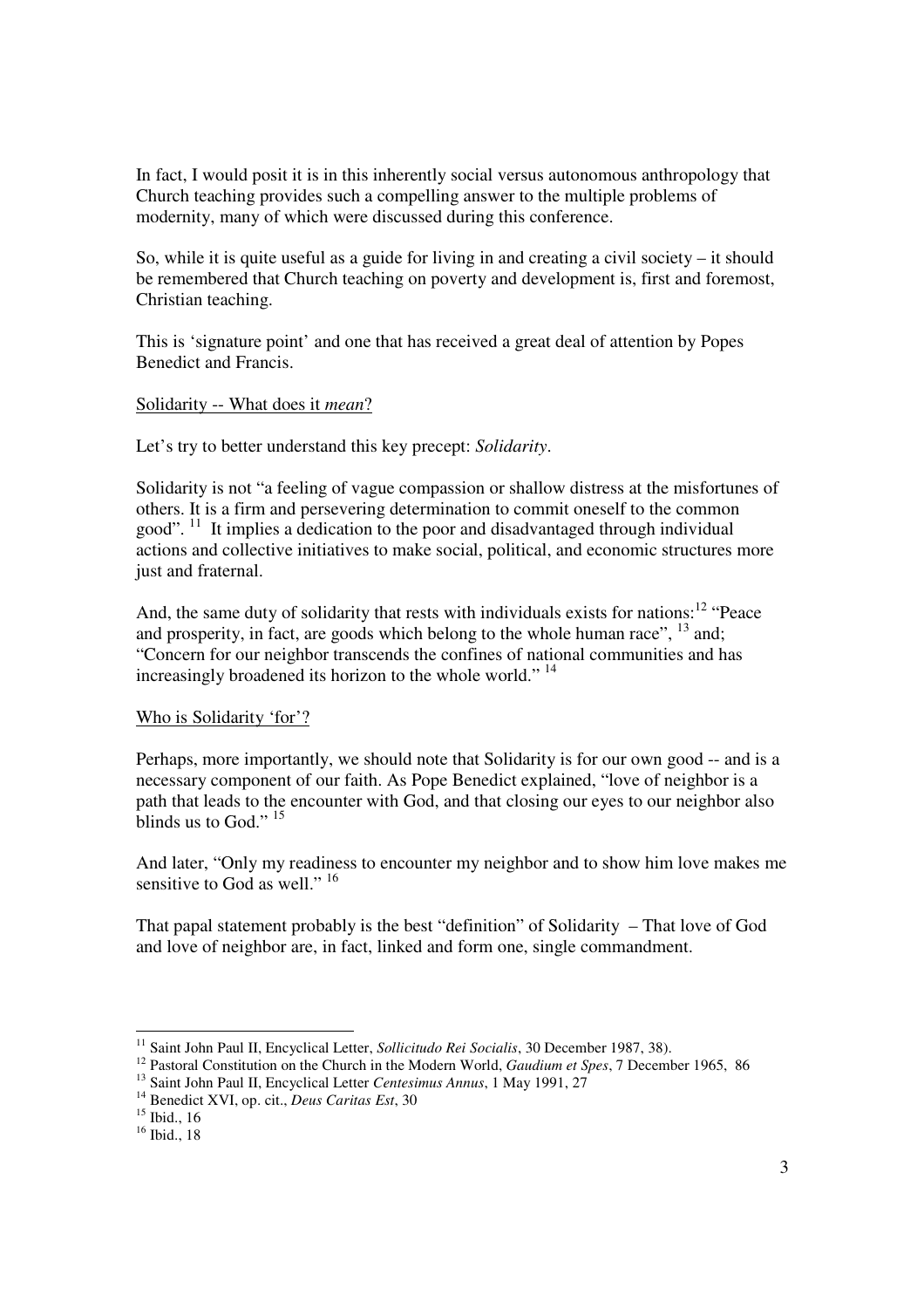In fact, I would posit it is in this inherently social versus autonomous anthropology that Church teaching provides such a compelling answer to the multiple problems of modernity, many of which were discussed during this conference.

So, while it is quite useful as a guide for living in and creating a civil society – it should be remembered that Church teaching on poverty and development is, first and foremost, Christian teaching.

This is 'signature point' and one that has received a great deal of attention by Popes Benedict and Francis.

# Solidarity -- What does it *mean*?

Let's try to better understand this key precept: *Solidarity*.

Solidarity is not "a feeling of vague compassion or shallow distress at the misfortunes of others. It is a firm and persevering determination to commit oneself to the common good".  $11$  It implies a dedication to the poor and disadvantaged through individual actions and collective initiatives to make social, political, and economic structures more just and fraternal.

And, the same duty of solidarity that rests with individuals exists for nations:<sup>12</sup> "Peace" and prosperity, in fact, are goods which belong to the whole human race",  $^{13}$  and; "Concern for our neighbor transcends the confines of national communities and has increasingly broadened its horizon to the whole world." <sup>14</sup>

# Who is Solidarity 'for'?

Perhaps, more importantly, we should note that Solidarity is for our own good -- and is a necessary component of our faith. As Pope Benedict explained, "love of neighbor is a path that leads to the encounter with God, and that closing our eyes to our neighbor also blinds us to God."<sup>15</sup>

And later, "Only my readiness to encounter my neighbor and to show him love makes me sensitive to God as well."<sup>16</sup>

That papal statement probably is the best "definition" of Solidarity – That love of God and love of neighbor are, in fact, linked and form one, single commandment.

<sup>-</sup><sup>11</sup> Saint John Paul II, Encyclical Letter, *Sollicitudo Rei Socialis*, 30 December 1987, 38).

<sup>&</sup>lt;sup>12</sup> Pastoral Constitution on the Church in the Modern World, *Gaudium et Spes*, 7 December 1965, 86

<sup>13</sup> Saint John Paul II, Encyclical Letter *Centesimus Annus*, 1 May 1991, 27

<sup>14</sup> Benedict XVI, op. cit., *Deus Caritas Est*, 30

 $15$  Ibid., 16

 $16$  Ibid., 18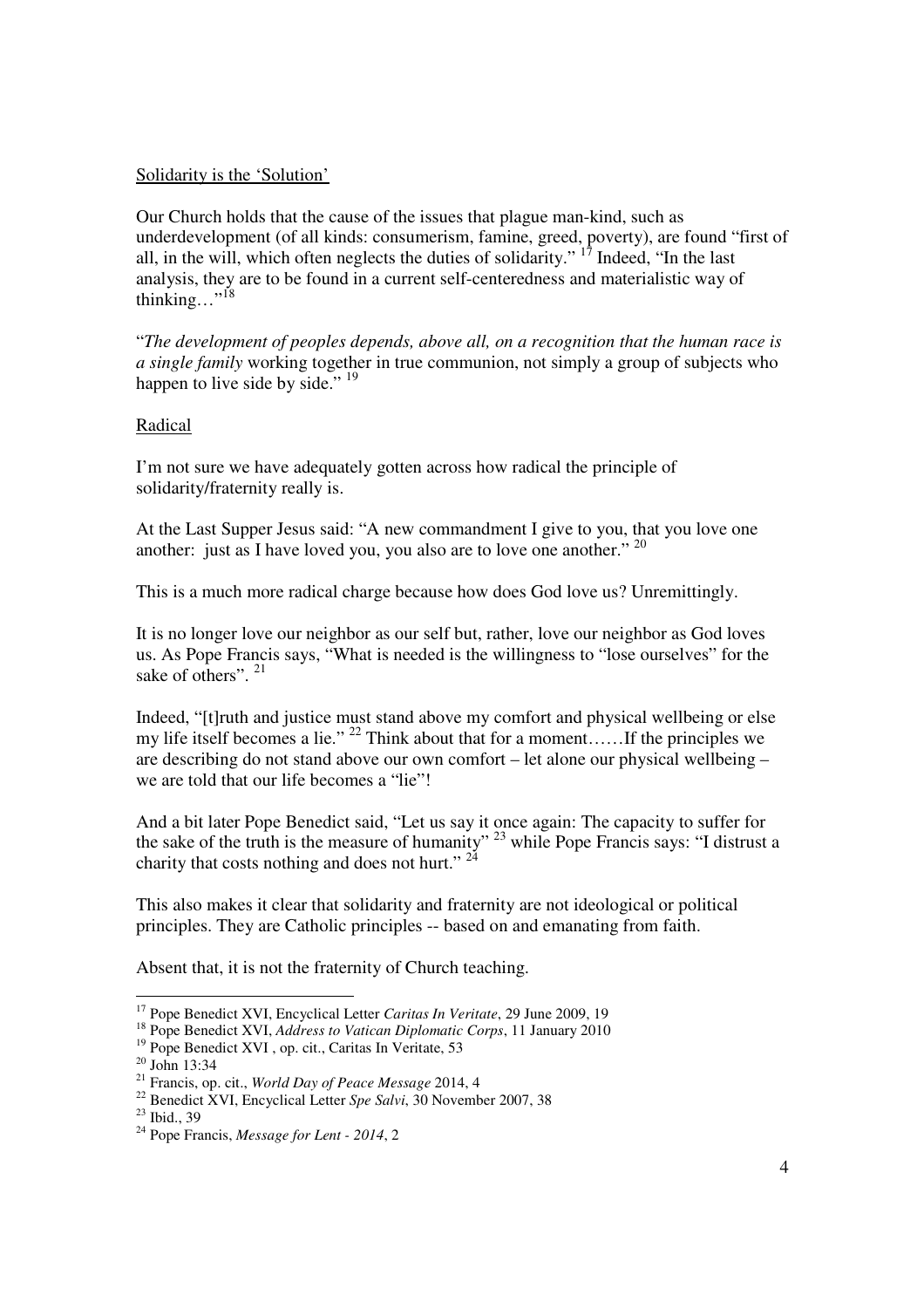#### Solidarity is the 'Solution'

Our Church holds that the cause of the issues that plague man-kind, such as underdevelopment (of all kinds: consumerism, famine, greed, poverty), are found "first of all, in the will, which often neglects the duties of solidarity."  $\frac{17}{17}$  Indeed, "In the last" analysis, they are to be found in a current self-centeredness and materialistic way of thinking…"<sup>18</sup>

"*The development of peoples depends, above all, on a recognition that the human race is a single family* working together in true communion, not simply a group of subjects who happen to live side by side." <sup>19</sup>

# Radical

I'm not sure we have adequately gotten across how radical the principle of solidarity/fraternity really is.

At the Last Supper Jesus said: "A new commandment I give to you, that you love one another: just as I have loved you, you also are to love one another." <sup>20</sup>

This is a much more radical charge because how does God love us? Unremittingly.

It is no longer love our neighbor as our self but, rather, love our neighbor as God loves us. As Pope Francis says, "What is needed is the willingness to "lose ourselves" for the sake of others". <sup>21</sup>

Indeed, "[t]ruth and justice must stand above my comfort and physical wellbeing or else my life itself becomes a lie." <sup>22</sup> Think about that for a moment...... If the principles we are describing do not stand above our own comfort – let alone our physical wellbeing – we are told that our life becomes a "lie"!

And a bit later Pope Benedict said, "Let us say it once again: The capacity to suffer for the sake of the truth is the measure of humanity"  $^{23}$  while Pope Francis says: "I distrust a charity that costs nothing and does not hurt."<sup>24</sup>

This also makes it clear that solidarity and fraternity are not ideological or political principles. They are Catholic principles -- based on and emanating from faith.

Absent that, it is not the fraternity of Church teaching.

<sup>-</sup><sup>17</sup> Pope Benedict XVI, Encyclical Letter *Caritas In Veritate*, 29 June 2009, 19

<sup>18</sup> Pope Benedict XVI, *Address to Vatican Diplomatic Corps*, 11 January 2010

<sup>19</sup> Pope Benedict XVI , op. cit., Caritas In Veritate, 53

 $20$  John 13:34

<sup>21</sup> Francis, op. cit., *World Day of Peace Message* 2014, 4

<sup>&</sup>lt;sup>22</sup> Benedict XVI, Encyclical Letter *Spe Salvi*, 30 November 2007, 38

 $^{23}$  Ibid., 39

<sup>24</sup> Pope Francis, *Message for Lent - 2014*, 2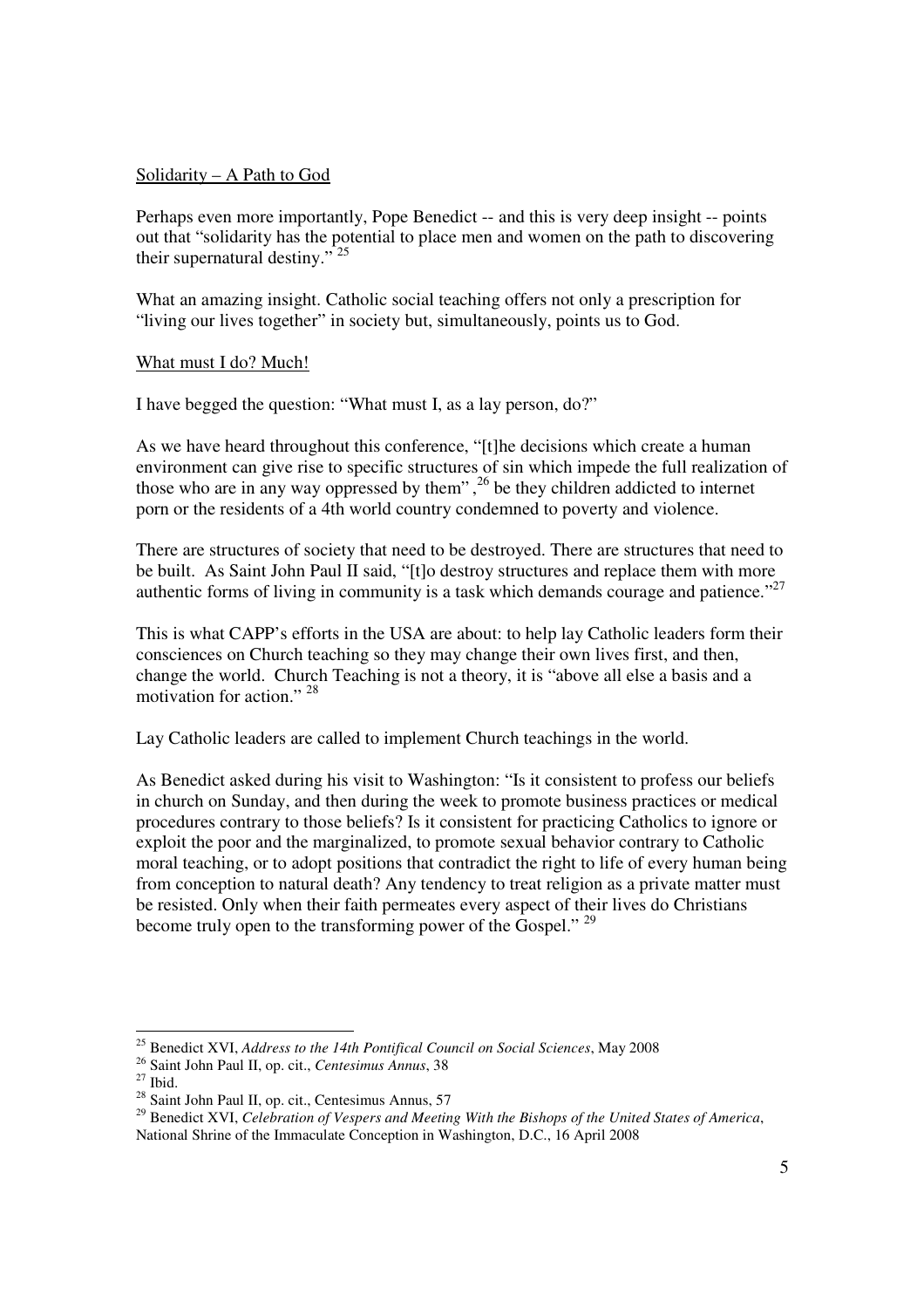### Solidarity – A Path to God

Perhaps even more importantly, Pope Benedict -- and this is very deep insight -- points out that "solidarity has the potential to place men and women on the path to discovering their supernatural destiny." <sup>25</sup>

What an amazing insight. Catholic social teaching offers not only a prescription for "living our lives together" in society but, simultaneously, points us to God.

#### What must I do? Much!

I have begged the question: "What must I, as a lay person, do?"

As we have heard throughout this conference, "[t]he decisions which create a human environment can give rise to specific structures of sin which impede the full realization of those who are in any way oppressed by them",<sup>26</sup> be they children addicted to internet porn or the residents of a 4th world country condemned to poverty and violence.

There are structures of society that need to be destroyed. There are structures that need to be built. As Saint John Paul II said, "[t]o destroy structures and replace them with more authentic forms of living in community is a task which demands courage and patience." $^{27}$ 

This is what CAPP's efforts in the USA are about: to help lay Catholic leaders form their consciences on Church teaching so they may change their own lives first, and then, change the world. Church Teaching is not a theory, it is "above all else a basis and a motivation for action." <sup>28</sup>

Lay Catholic leaders are called to implement Church teachings in the world.

As Benedict asked during his visit to Washington: "Is it consistent to profess our beliefs in church on Sunday, and then during the week to promote business practices or medical procedures contrary to those beliefs? Is it consistent for practicing Catholics to ignore or exploit the poor and the marginalized, to promote sexual behavior contrary to Catholic moral teaching, or to adopt positions that contradict the right to life of every human being from conception to natural death? Any tendency to treat religion as a private matter must be resisted. Only when their faith permeates every aspect of their lives do Christians become truly open to the transforming power of the Gospel." <sup>29</sup>

<sup>-</sup><sup>25</sup> Benedict XVI, *Address to the 14th Pontifical Council on Social Sciences*, May 2008

<sup>26</sup> Saint John Paul II, op. cit., *Centesimus Annus*, 38

 $27$  Ibid.

 $28$  Saint John Paul II, op. cit., Centesimus Annus, 57

<sup>29</sup> Benedict XVI, *Celebration of Vespers and Meeting With the Bishops of the United States of America*, National Shrine of the Immaculate Conception in Washington, D.C., 16 April 2008